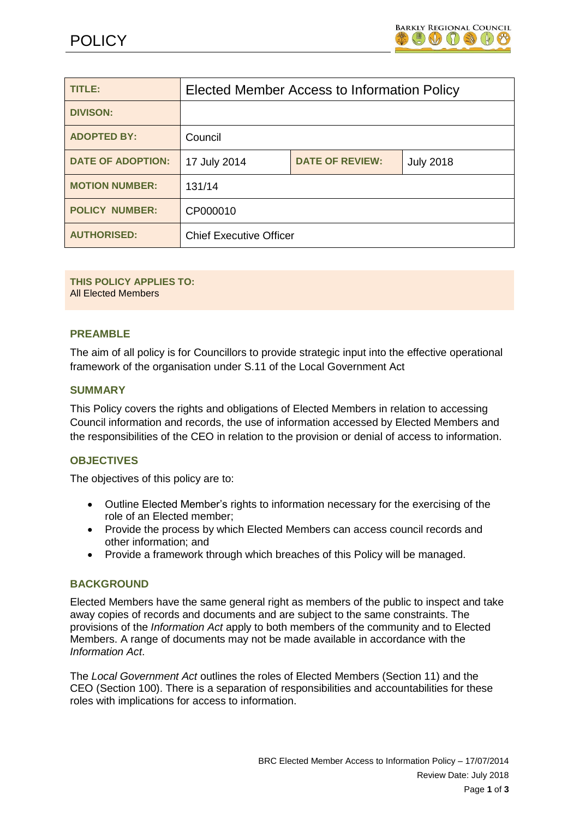

| TITLE:                   | Elected Member Access to Information Policy |                        |                  |
|--------------------------|---------------------------------------------|------------------------|------------------|
| <b>DIVISON:</b>          |                                             |                        |                  |
| <b>ADOPTED BY:</b>       | Council                                     |                        |                  |
| <b>DATE OF ADOPTION:</b> | 17 July 2014                                | <b>DATE OF REVIEW:</b> | <b>July 2018</b> |
| <b>MOTION NUMBER:</b>    | 131/14                                      |                        |                  |
| <b>POLICY NUMBER:</b>    | CP000010                                    |                        |                  |
| <b>AUTHORISED:</b>       | <b>Chief Executive Officer</b>              |                        |                  |

#### **THIS POLICY APPLIES TO:** All Elected Members

# **PREAMBLE**

The aim of all policy is for Councillors to provide strategic input into the effective operational framework of the organisation under S.11 of the Local Government Act

#### **SUMMARY**

This Policy covers the rights and obligations of Elected Members in relation to accessing Council information and records, the use of information accessed by Elected Members and the responsibilities of the CEO in relation to the provision or denial of access to information.

## **OBJECTIVES**

The objectives of this policy are to:

- Outline Elected Member's rights to information necessary for the exercising of the role of an Elected member;
- Provide the process by which Elected Members can access council records and other information; and
- Provide a framework through which breaches of this Policy will be managed.

#### **BACKGROUND**

Elected Members have the same general right as members of the public to inspect and take away copies of records and documents and are subject to the same constraints. The provisions of the *Information Act* apply to both members of the community and to Elected Members. A range of documents may not be made available in accordance with the *Information Act*.

The *Local Government Act* outlines the roles of Elected Members (Section 11) and the CEO (Section 100). There is a separation of responsibilities and accountabilities for these roles with implications for access to information.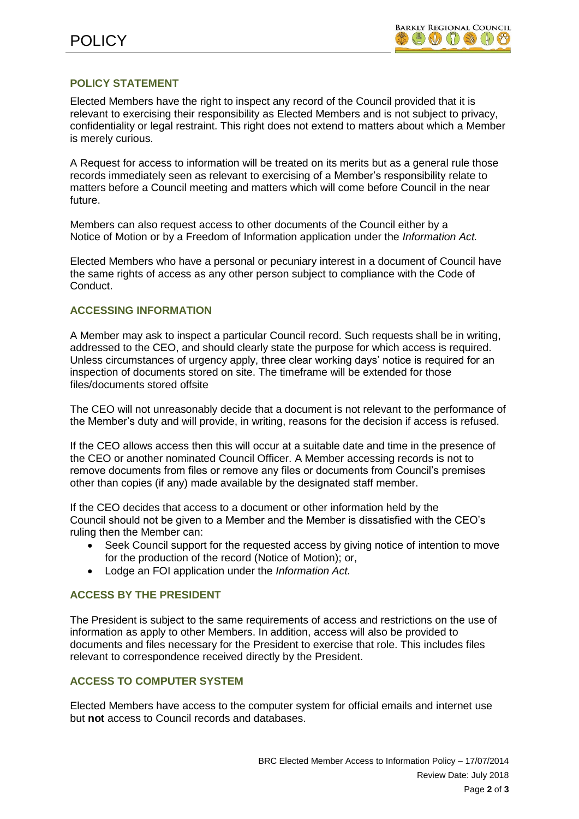# **POLICY STATEMENT**

Elected Members have the right to inspect any record of the Council provided that it is relevant to exercising their responsibility as Elected Members and is not subject to privacy, confidentiality or legal restraint. This right does not extend to matters about which a Member is merely curious.

A Request for access to information will be treated on its merits but as a general rule those records immediately seen as relevant to exercising of a Member's responsibility relate to matters before a Council meeting and matters which will come before Council in the near future.

Members can also request access to other documents of the Council either by a Notice of Motion or by a Freedom of Information application under the *Information Act.*

Elected Members who have a personal or pecuniary interest in a document of Council have the same rights of access as any other person subject to compliance with the Code of Conduct.

#### **ACCESSING INFORMATION**

A Member may ask to inspect a particular Council record. Such requests shall be in writing, addressed to the CEO, and should clearly state the purpose for which access is required. Unless circumstances of urgency apply, three clear working days' notice is required for an inspection of documents stored on site. The timeframe will be extended for those files/documents stored offsite

The CEO will not unreasonably decide that a document is not relevant to the performance of the Member's duty and will provide, in writing, reasons for the decision if access is refused.

If the CEO allows access then this will occur at a suitable date and time in the presence of the CEO or another nominated Council Officer. A Member accessing records is not to remove documents from files or remove any files or documents from Council's premises other than copies (if any) made available by the designated staff member.

If the CEO decides that access to a document or other information held by the Council should not be given to a Member and the Member is dissatisfied with the CEO's ruling then the Member can:

- Seek Council support for the requested access by giving notice of intention to move for the production of the record (Notice of Motion); or,
- Lodge an FOI application under the *Information Act.*

## **ACCESS BY THE PRESIDENT**

The President is subject to the same requirements of access and restrictions on the use of information as apply to other Members. In addition, access will also be provided to documents and files necessary for the President to exercise that role. This includes files relevant to correspondence received directly by the President.

## **ACCESS TO COMPUTER SYSTEM**

Elected Members have access to the computer system for official emails and internet use but **not** access to Council records and databases.